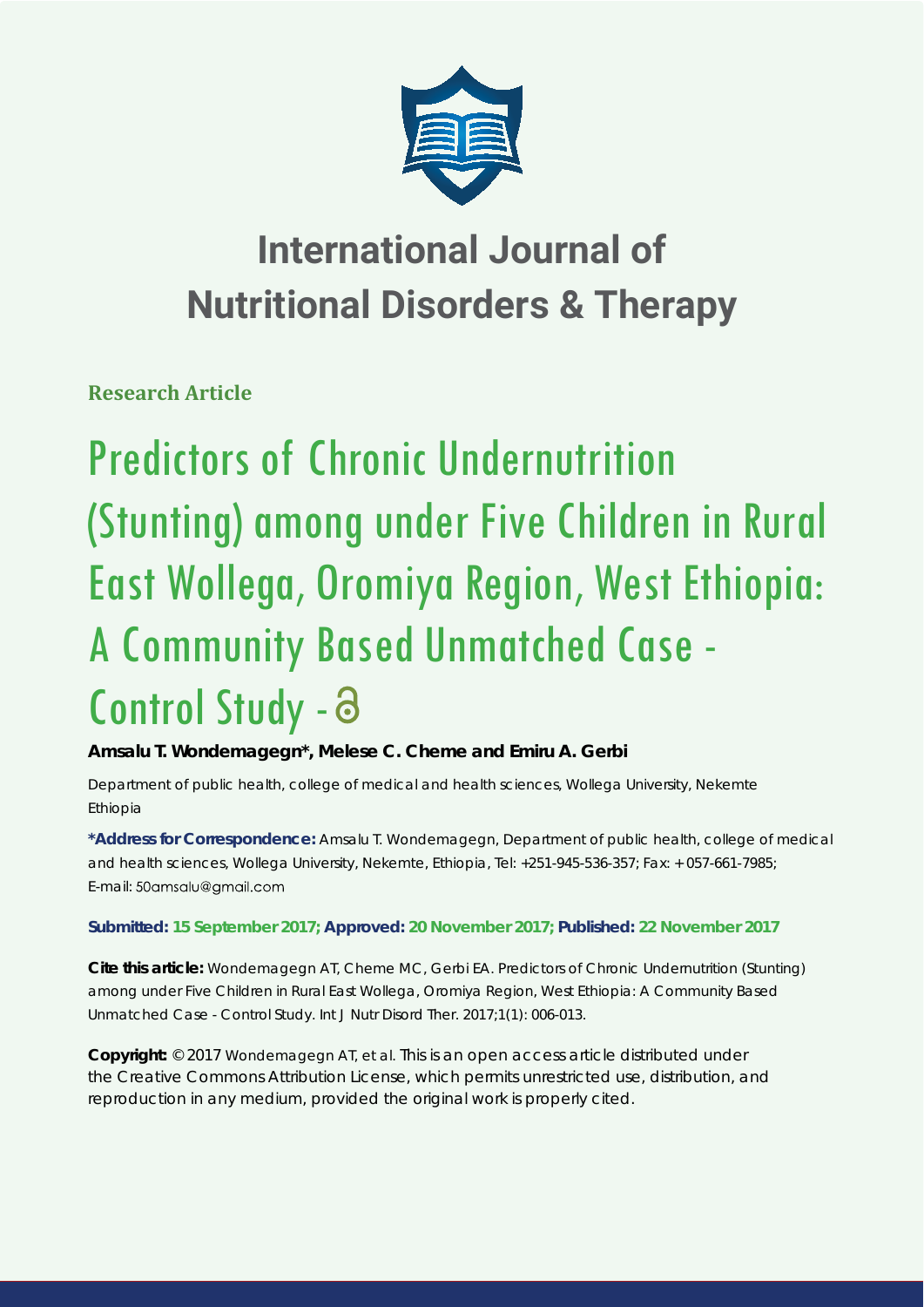

# **International Journal of Nutritional Disorders & Therapy**

**Research Article**

Predictors of Chronic Undernutrition (Stunting) among under Five Children in Rural East Wollega, Oromiya Region, West Ethiopia: A Community Based Unmatched Case - Control Study -

**Amsalu T. Wondemagegn\*, Melese C. Cheme and Emiru A. Gerbi**

*Department of public health, college of medical and health sciences, Wollega University, Nekemte Ethiopia* 

**\*Address for Correspondence:** Amsalu T. Wondemagegn, Department of public health, college of medical and health sciences, Wollega University, Nekemte, Ethiopia, Tel: +251-945-536-357; Fax: + 057-661-7985; E-mail: 50amsalu@gmail.com

**Submitted: 15 September 2017; Approved: 20 November 2017; Published: 22 November 2017**

**Cite this article:** Wondemagegn AT, Cheme MC, Gerbi EA. Predictors of Chronic Undernutrition (Stunting) among under Five Children in Rural East Wollega, Oromiya Region, West Ethiopia: A Community Based Unmatched Case - Control Study. Int J Nutr Disord Ther. 2017;1(1): 006-013.

**Copyright:** © 2017 Wondemagegn AT, et al. This is an open access article distributed under the Creative Commons Attribution License, which permits unrestricted use, distribution, and reproduction in any medium, provided the original work is properly cited.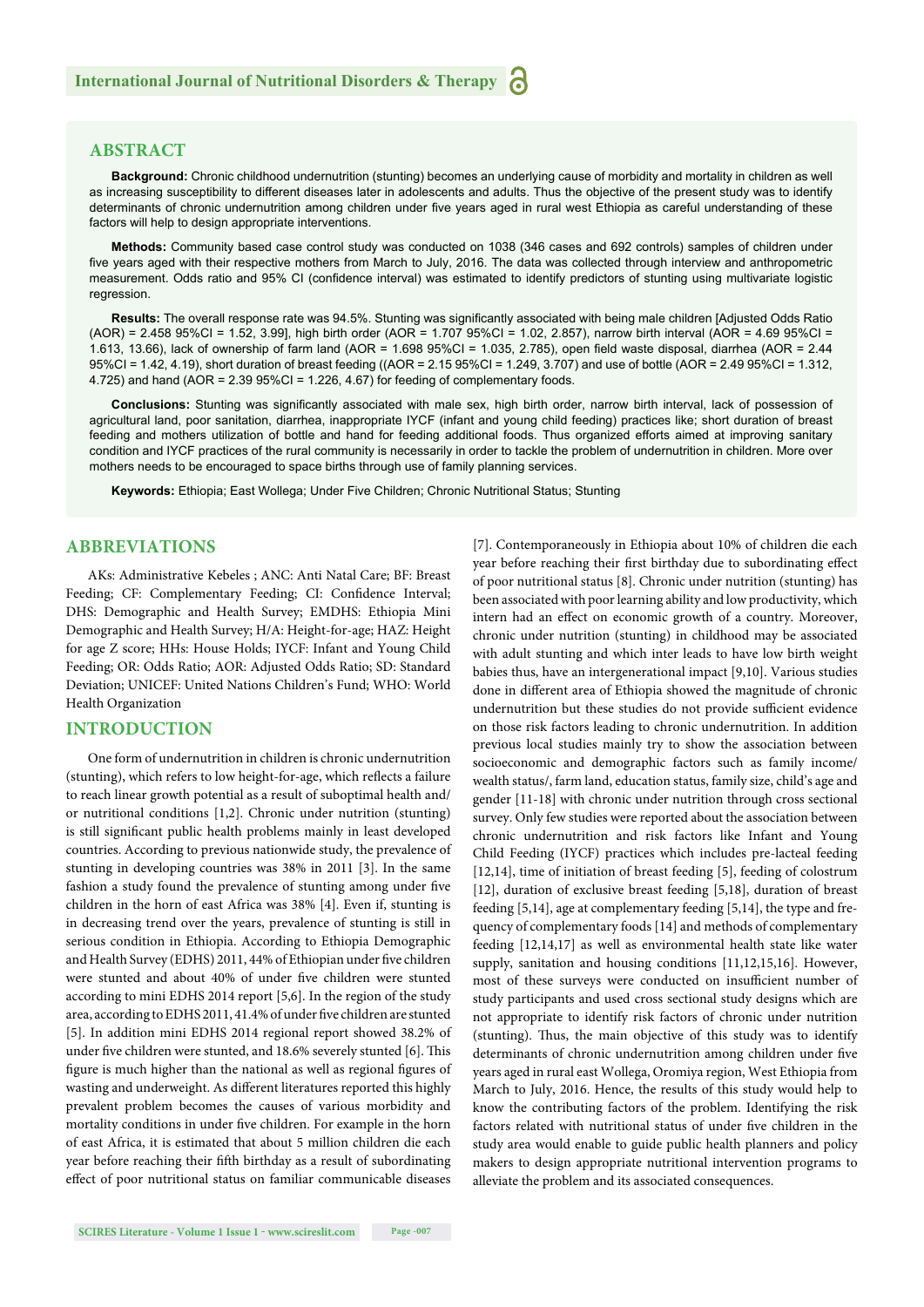# **ABSTRACT**

**Background:** Chronic childhood undernutrition (stunting) becomes an underlying cause of morbidity and mortality in children as well as increasing susceptibility to different diseases later in adolescents and adults. Thus the objective of the present study was to identify determinants of chronic undernutrition among children under five years aged in rural west Ethiopia as careful understanding of these factors will help to design appropriate interventions.

**Methods:** Community based case control study was conducted on 1038 (346 cases and 692 controls) samples of children under five years aged with their respective mothers from March to July, 2016. The data was collected through interview and anthropometric measurement. Odds ratio and 95% CI (confidence interval) was estimated to identify predictors of stunting using multivariate logistic regression.

Results: The overall response rate was 94.5%. Stunting was significantly associated with being male children [Adjusted Odds Ratio (AOR) = 2.458 95%CI = 1.52, 3.99], high birth order (AOR = 1.707 95%CI = 1.02, 2.857), narrow birth interval (AOR = 4.69 95%CI = 1.613, 13.66), lack of ownership of farm land (AOR = 1.698 95%CI = 1.035, 2.785), open field waste disposal, diarrhea (AOR = 2.44 95%CI = 1.42, 4.19), short duration of breast feeding ((AOR = 2.15 95%CI = 1.249, 3.707) and use of bottle (AOR = 2.49 95%CI = 1.312, 4.725) and hand  $(AOR = 2.39 95\% CI = 1.226, 4.67)$  for feeding of complementary foods.

Conclusions: Stunting was significantly associated with male sex, high birth order, narrow birth interval, lack of possession of agricultural land, poor sanitation, diarrhea, inappropriate IYCF (infant and young child feeding) practices like; short duration of breast feeding and mothers utilization of bottle and hand for feeding additional foods. Thus organized efforts aimed at improving sanitary condition and IYCF practices of the rural community is necessarily in order to tackle the problem of undernutrition in children. More over mothers needs to be encouraged to space births through use of family planning services.

**Keywords:** Ethiopia; East Wollega; Under Five Children; Chronic Nutritional Status; Stunting

# **ABBREVIATIONS**

AKs: Administrative Kebeles ; ANC: Anti Natal Care; BF: Breast Feeding; CF: Complementary Feeding; CI: Confidence Interval; DHS: Demographic and Health Survey; EMDHS: Ethiopia Mini Demographic and Health Survey; H/A: Height-for-age; HAZ: Height for age Z score; HHs: House Holds; IYCF: Infant and Young Child Feeding; OR: Odds Ratio; AOR: Adjusted Odds Ratio; SD: Standard Deviation; UNICEF: United Nations Children's Fund; WHO: World Health Organization

#### **INTRODUCTION**

One form of undernutrition in children is chronic undernutrition (stunting), which refers to low height-for-age, which reflects a failure to reach linear growth potential as a result of suboptimal health and/ or nutritional conditions [1,2]. Chronic under nutrition (stunting) is still significant public health problems mainly in least developed countries. According to previous nationwide study, the prevalence of stunting in developing countries was 38% in 2011 [3]. In the same fashion a study found the prevalence of stunting among under five children in the horn of east Africa was 38% [4]. Even if, stunting is in decreasing trend over the years, prevalence of stunting is still in serious condition in Ethiopia. According to Ethiopia Demographic and Health Survey (EDHS) 2011, 44% of Ethiopian under five children were stunted and about 40% of under five children were stunted according to mini EDHS 2014 report [5,6]. In the region of the study area, according to EDHS 2011, 41.4% of under five children are stunted [5]. In addition mini EDHS 2014 regional report showed 38.2% of under five children were stunted, and 18.6% severely stunted [6]. This figure is much higher than the national as well as regional figures of wasting and underweight. As different literatures reported this highly prevalent problem becomes the causes of various morbidity and mortality conditions in under five children. For example in the horn of east Africa, it is estimated that about 5 million children die each year before reaching their fifth birthday as a result of subordinating effect of poor nutritional status on familiar communicable diseases [7]. Contemporaneously in Ethiopia about 10% of children die each year before reaching their first birthday due to subordinating effect of poor nutritional status [8]. Chronic under nutrition (stunting) has been associated with poor learning ability and low productivity, which intern had an effect on economic growth of a country. Moreover, chronic under nutrition (stunting) in childhood may be associated with adult stunting and which inter leads to have low birth weight babies thus, have an intergenerational impact [9,10]. Various studies done in different area of Ethiopia showed the magnitude of chronic undernutrition but these studies do not provide sufficient evidence on those risk factors leading to chronic undernutrition. In addition previous local studies mainly try to show the association between socioeconomic and demographic factors such as family income/ wealth status/, farm land, education status, family size, child's age and gender [11-18] with chronic under nutrition through cross sectional survey. Only few studies were reported about the association between chronic undernutrition and risk factors like Infant and Young Child Feeding (IYCF) practices which includes pre-lacteal feeding [12,14], time of initiation of breast feeding [5], feeding of colostrum [12], duration of exclusive breast feeding [5,18], duration of breast feeding [5,14], age at complementary feeding [5,14], the type and frequency of complementary foods [14] and methods of complementary feeding [12,14,17] as well as environmental health state like water supply, sanitation and housing conditions [11,12,15,16]. However, most of these surveys were conducted on insufficient number of study participants and used cross sectional study designs which are not appropriate to identify risk factors of chronic under nutrition (stunting). Thus, the main objective of this study was to identify determinants of chronic undernutrition among children under five years aged in rural east Wollega, Oromiya region, West Ethiopia from March to July, 2016. Hence, the results of this study would help to know the contributing factors of the problem. Identifying the risk factors related with nutritional status of under five children in the study area would enable to guide public health planners and policy makers to design appropriate nutritional intervention programs to alleviate the problem and its associated consequences.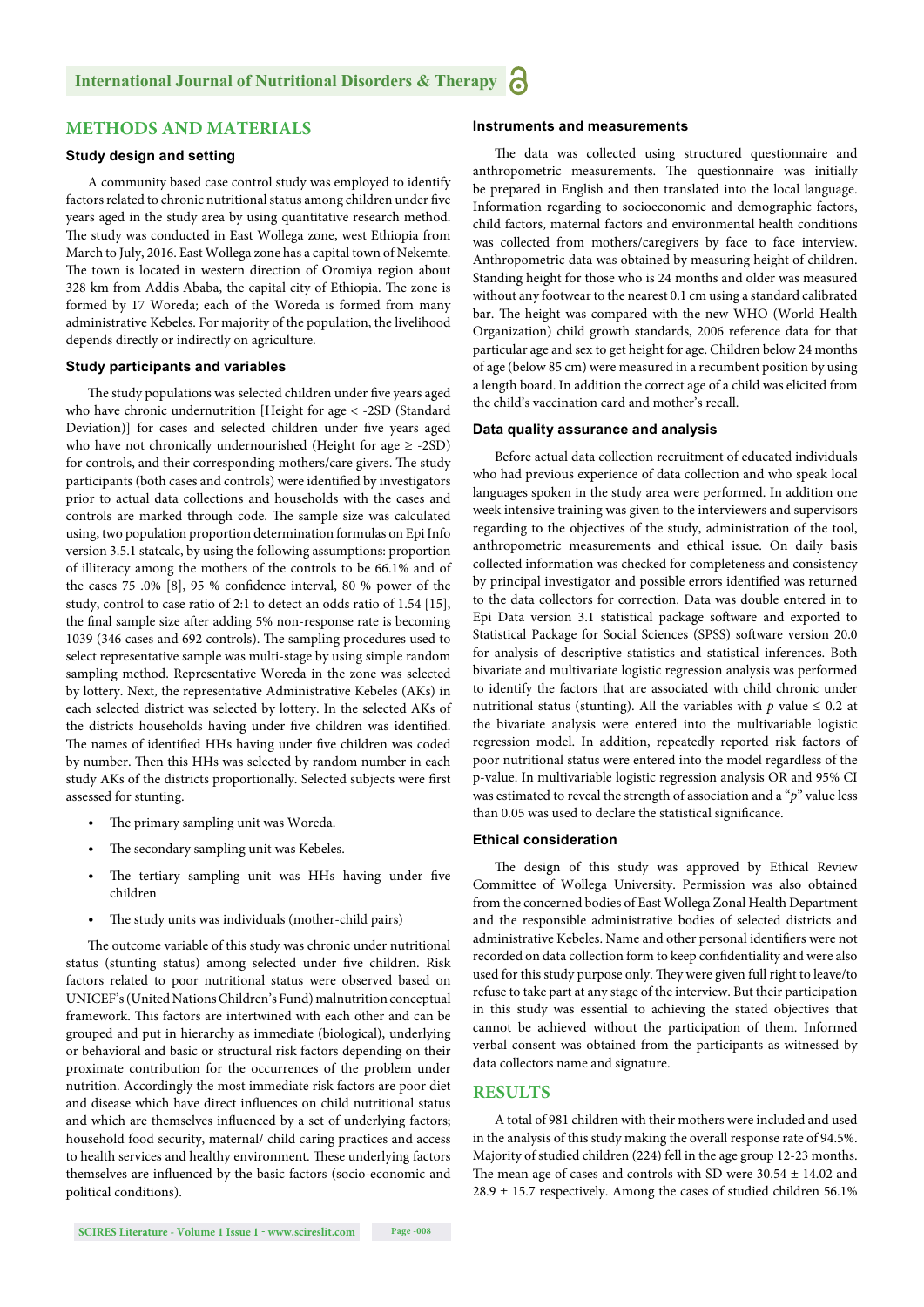# **METHODS AND MATERIALS**

#### **Study design and setting**

A community based case control study was employed to identify factors related to chronic nutritional status among children under five years aged in the study area by using quantitative research method. The study was conducted in East Wollega zone, west Ethiopia from March to July, 2016. East Wollega zone has a capital town of Nekemte. The town is located in western direction of Oromiya region about 328 km from Addis Ababa, the capital city of Ethiopia. The zone is formed by 17 Woreda; each of the Woreda is formed from many administrative Kebeles. For majority of the population, the livelihood depends directly or indirectly on agriculture.

#### **Study participants and variables**

The study populations was selected children under five years aged who have chronic undernutrition [Height for age < -2SD (Standard Deviation)] for cases and selected children under five years aged who have not chronically undernourished (Height for age  $\ge$  -2SD) for controls, and their corresponding mothers/care givers. The study participants (both cases and controls) were identified by investigators prior to actual data collections and households with the cases and controls are marked through code. The sample size was calculated using, two population proportion determination formulas on Epi Info version 3.5.1 statcalc, by using the following assumptions: proportion of illiteracy among the mothers of the controls to be 66.1% and of the cases  $75.0\%$  [8],  $95\%$  confidence interval,  $80\%$  power of the study, control to case ratio of 2:1 to detect an odds ratio of 1.54 [15], the final sample size after adding 5% non-response rate is becoming 1039 (346 cases and 692 controls). The sampling procedures used to select representative sample was multi-stage by using simple random sampling method. Representative Woreda in the zone was selected by lottery. Next, the representative Administrative Kebeles (AKs) in each selected district was selected by lottery. In the selected AKs of the districts households having under five children was identified. The names of identified HHs having under five children was coded by number. Then this HHs was selected by random number in each study AKs of the districts proportionally. Selected subjects were first assessed for stunting.

- The primary sampling unit was Woreda.
- The secondary sampling unit was Kebeles.
- The tertiary sampling unit was HHs having under five children
- The study units was individuals (mother-child pairs)

The outcome variable of this study was chronic under nutritional status (stunting status) among selected under five children. Risk factors related to poor nutritional status were observed based on UNICEF's (United Nations Children's Fund) malnutrition conceptual framework. This factors are intertwined with each other and can be grouped and put in hierarchy as immediate (biological), underlying or behavioral and basic or structural risk factors depending on their proximate contribution for the occurrences of the problem under nutrition. Accordingly the most immediate risk factors are poor diet and disease which have direct influences on child nutritional status and which are themselves influenced by a set of underlying factors; household food security, maternal/ child caring practices and access to health services and healthy environment. These underlying factors themselves are influenced by the basic factors (socio-economic and political conditions).

## **Instruments and measurements**

The data was collected using structured questionnaire and anthropometric measurements. The questionnaire was initially be prepared in English and then translated into the local language. Information regarding to socioeconomic and demographic factors, child factors, maternal factors and environmental health conditions was collected from mothers/caregivers by face to face interview. Anthropometric data was obtained by measuring height of children. Standing height for those who is 24 months and older was measured without any footwear to the nearest 0.1 cm using a standard calibrated bar. The height was compared with the new WHO (World Health Organization) child growth standards, 2006 reference data for that particular age and sex to get height for age. Children below 24 months of age (below 85 cm) were measured in a recumbent position by using a length board. In addition the correct age of a child was elicited from the child's vaccination card and mother's recall.

#### **Data quality assurance and analysis**

Before actual data collection recruitment of educated individuals who had previous experience of data collection and who speak local languages spoken in the study area were performed. In addition one week intensive training was given to the interviewers and supervisors regarding to the objectives of the study, administration of the tool, anthropometric measurements and ethical issue. On daily basis collected information was checked for completeness and consistency by principal investigator and possible errors identified was returned to the data collectors for correction. Data was double entered in to Epi Data version 3.1 statistical package software and exported to Statistical Package for Social Sciences (SPSS) software version 20.0 for analysis of descriptive statistics and statistical inferences. Both bivariate and multivariate logistic regression analysis was performed to identify the factors that are associated with child chronic under nutritional status (stunting). All the variables with  $p$  value  $\leq 0.2$  at the bivariate analysis were entered into the multivariable logistic regression model. In addition, repeatedly reported risk factors of poor nutritional status were entered into the model regardless of the p-value. In multivariable logistic regression analysis OR and 95% CI was estimated to reveal the strength of association and a "*p*" value less than 0.05 was used to declare the statistical significance.

#### **Ethical consideration**

The design of this study was approved by Ethical Review Committee of Wollega University. Permission was also obtained from the concerned bodies of East Wollega Zonal Health Department and the responsible administrative bodies of selected districts and administrative Kebeles. Name and other personal identifiers were not recorded on data collection form to keep confidentiality and were also used for this study purpose only. They were given full right to leave/to refuse to take part at any stage of the interview. But their participation in this study was essential to achieving the stated objectives that cannot be achieved without the participation of them. Informed verbal consent was obtained from the participants as witnessed by data collectors name and signature.

## **RESULTS**

A total of 981 children with their mothers were included and used in the analysis of this study making the overall response rate of 94.5%. Majority of studied children (224) fell in the age group 12-23 months. The mean age of cases and controls with SD were  $30.54 \pm 14.02$  and  $28.9 \pm 15.7$  respectively. Among the cases of studied children 56.1%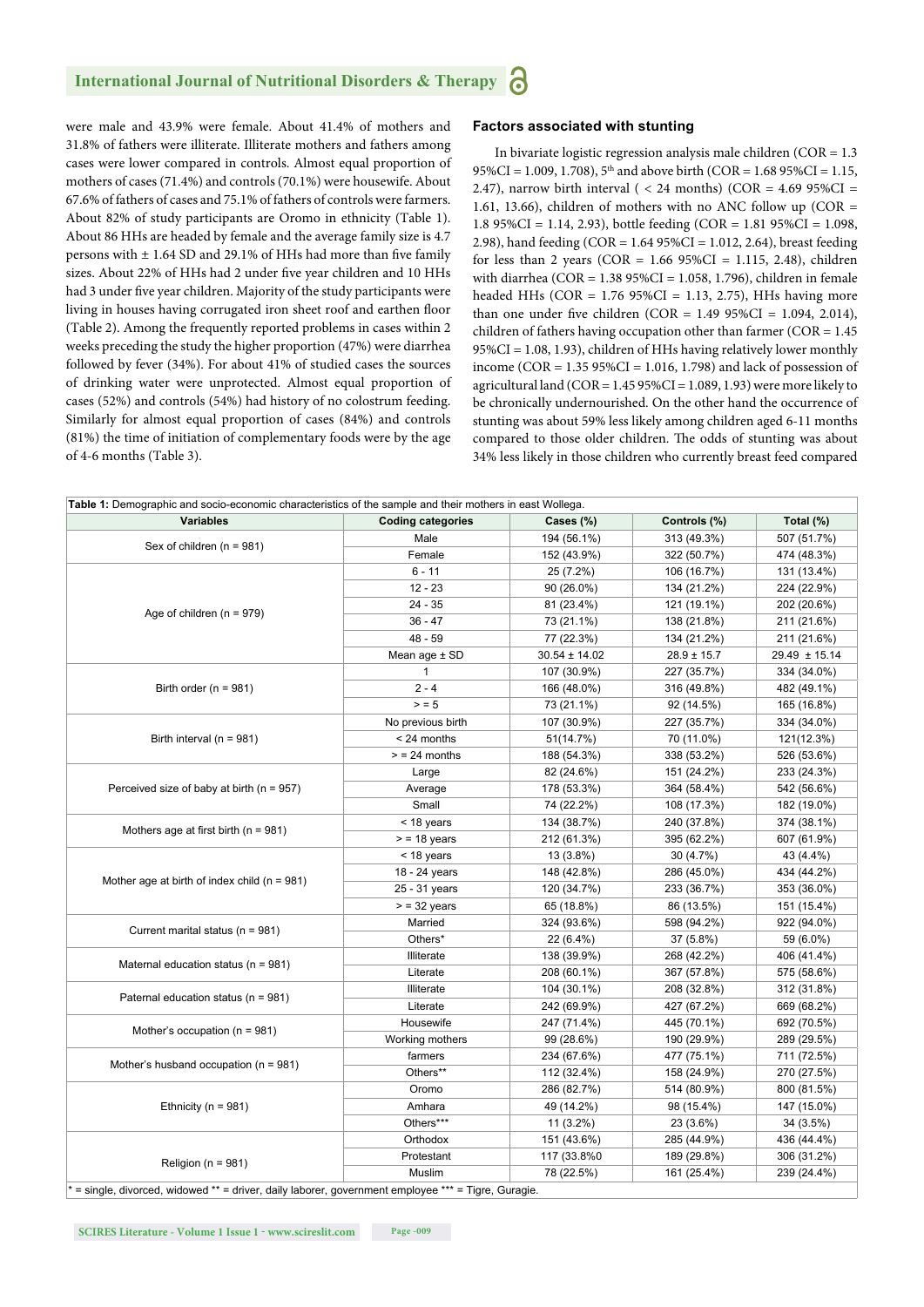were male and 43.9% were female. About 41.4% of mothers and 31.8% of fathers were illiterate. Illiterate mothers and fathers among cases were lower compared in controls. Almost equal proportion of mothers of cases (71.4%) and controls (70.1%) were housewife. About 67.6% of fathers of cases and 75.1% of fathers of controls were farmers. About 82% of study participants are Oromo in ethnicity (Table 1). About 86 HHs are headed by female and the average family size is 4.7 persons with  $\pm$  1.64 SD and 29.1% of HHs had more than five family sizes. About 22% of HHs had 2 under five year children and 10 HHs had 3 under five year children. Majority of the study participants were living in houses having corrugated iron sheet roof and earthen floor (Table 2). Among the frequently reported problems in cases within 2 weeks preceding the study the higher proportion (47%) were diarrhea followed by fever (34%). For about 41% of studied cases the sources of drinking water were unprotected. Almost equal proportion of cases (52%) and controls (54%) had history of no colostrum feeding. Similarly for almost equal proportion of cases (84%) and controls (81%) the time of initiation of complementary foods were by the age of 4-6 months (Table 3).

#### **Factors associated with stunting**

In bivariate logistic regression analysis male children  $(COR = 1.3$ 95%CI = 1.009, 1.708),  $5<sup>th</sup>$  and above birth (COR = 1.68 95%CI = 1.15, 2.47), narrow birth interval (  $<$  24 months) (COR = 4.69 95%CI = 1.61, 13.66), children of mothers with no ANC follow up ( $COR =$ 1.8 95%CI = 1.14, 2.93), bottle feeding (COR = 1.81 95%CI = 1.098, 2.98), hand feeding (COR = 1.64 95%CI = 1.012, 2.64), breast feeding for less than 2 years (COR =  $1.66$  95%CI =  $1.115$ , 2.48), children with diarrhea (COR = 1.38 95%CI = 1.058, 1.796), children in female headed HHs (COR = 1.76 95%CI = 1.13, 2.75), HHs having more than one under five children (COR =  $1.4995\%$ CI =  $1.094$ , 2.014), children of fathers having occupation other than farmer ( $COR = 1.45$ ) 95%CI = 1.08, 1.93), children of HHs having relatively lower monthly income (COR = 1.35 95%CI = 1.016, 1.798) and lack of possession of agricultural land ( $COR = 1.4595\% CI = 1.089, 1.93$ ) were more likely to be chronically undernourished. On the other hand the occurrence of stunting was about 59% less likely among children aged 6-11 months compared to those older children. The odds of stunting was about 34% less likely in those children who currently breast feed compared

| <b>Variables</b>                                 | <b>Coding categories</b> | Cases (%)                                                                                                                                                                                                                                                                                      | Controls (%)    | Total $(\%)$      |
|--------------------------------------------------|--------------------------|------------------------------------------------------------------------------------------------------------------------------------------------------------------------------------------------------------------------------------------------------------------------------------------------|-----------------|-------------------|
|                                                  | Male                     | 194 (56.1%)                                                                                                                                                                                                                                                                                    | 313 (49.3%)     | 507 (51.7%)       |
| Sex of children (n = 981)                        | Female                   | 152 (43.9%)                                                                                                                                                                                                                                                                                    | 322 (50.7%)     | 474 (48.3%)       |
|                                                  | $6 - 11$                 | 25 (7.2%)                                                                                                                                                                                                                                                                                      | 106 (16.7%)     | 131 (13.4%)       |
| Age of children $(n = 979)$                      | $12 - 23$                | 90 (26.0%)                                                                                                                                                                                                                                                                                     | 134 (21.2%)     | 224 (22.9%)       |
|                                                  | $24 - 35$                | 81 (23.4%)                                                                                                                                                                                                                                                                                     | 121 (19.1%)     | 202 (20.6%)       |
|                                                  | $36 - 47$                | 73 (21.1%)                                                                                                                                                                                                                                                                                     | 138 (21.8%)     | 211 (21.6%)       |
|                                                  | $48 - 59$                | 77 (22.3%)                                                                                                                                                                                                                                                                                     | 134 (21.2%)     | 211 (21.6%)       |
|                                                  | Mean age ± SD            | $30.54 \pm 14.02$                                                                                                                                                                                                                                                                              | $28.9 \pm 15.7$ | $29.49 \pm 15.14$ |
|                                                  | $\mathbf{1}$             | 107 (30.9%)                                                                                                                                                                                                                                                                                    | 227 (35.7%)     | 334 (34.0%)       |
| Birth order ( $n = 981$ )                        | $2 - 4$                  | 166 (48.0%)                                                                                                                                                                                                                                                                                    | 316 (49.8%)     | 482 (49.1%)       |
|                                                  | > 5                      | 73 (21.1%)                                                                                                                                                                                                                                                                                     | 92 (14.5%)      | 165 (16.8%)       |
|                                                  | No previous birth        | 107 (30.9%)                                                                                                                                                                                                                                                                                    | 227 (35.7%)     | 334 (34.0%)       |
| Birth interval ( $n = 981$ )                     | < 24 months              | 51(14.7%)                                                                                                                                                                                                                                                                                      | 70 (11.0%)      | 121(12.3%)        |
|                                                  | $>$ = 24 months          | 188 (54.3%)                                                                                                                                                                                                                                                                                    | 338 (53.2%)     | 526 (53.6%)       |
|                                                  | Large                    | 82 (24.6%)                                                                                                                                                                                                                                                                                     | 151 (24.2%)     | 233 (24.3%)       |
| Perceived size of baby at birth ( $n = 957$ )    | Average                  | 178 (53.3%)                                                                                                                                                                                                                                                                                    | 364 (58.4%)     | 542 (56.6%)       |
|                                                  | Small                    | 74 (22.2%)                                                                                                                                                                                                                                                                                     | 108 (17.3%)     | 182 (19.0%)       |
|                                                  | < 18 years               | 134 (38.7%)                                                                                                                                                                                                                                                                                    | 240 (37.8%)     | 374 (38.1%)       |
| Mothers age at first birth ( $n = 981$ )         | $>$ = 18 years           | 212 (61.3%)                                                                                                                                                                                                                                                                                    | 395 (62.2%)     | 607 (61.9%)       |
|                                                  | < 18 years               |                                                                                                                                                                                                                                                                                                |                 | 43 (4.4%)         |
|                                                  | 18 - 24 years            |                                                                                                                                                                                                                                                                                                |                 | 434 (44.2%)       |
| Mother age at birth of index child ( $n = 981$ ) | 25 - 31 years            |                                                                                                                                                                                                                                                                                                |                 | 353 (36.0%)       |
|                                                  | $>$ = 32 years           |                                                                                                                                                                                                                                                                                                |                 | 151 (15.4%)       |
|                                                  | Married                  |                                                                                                                                                                                                                                                                                                |                 | 922 (94.0%)       |
| Current marital status (n = 981)                 | Others*                  |                                                                                                                                                                                                                                                                                                |                 | 59 (6.0%)         |
|                                                  | Illiterate               |                                                                                                                                                                                                                                                                                                |                 | 406 (41.4%)       |
| Maternal education status ( $n = 981$ )          | Literate                 | 13 (3.8%)<br>30 (4.7%)<br>148 (42.8%)<br>286 (45.0%)<br>120 (34.7%)<br>233 (36.7%)<br>65 (18.8%)<br>86 (13.5%)<br>324 (93.6%)<br>598 (94.2%)<br>22 (6.4%)<br>37 (5.8%)<br>138 (39.9%)<br>268 (42.2%)<br>208 (60.1%)<br>367 (57.8%)<br>104 (30.1%)<br>208 (32.8%)<br>242 (69.9%)<br>427 (67.2%) | 575 (58.6%)     |                   |
|                                                  | Illiterate               |                                                                                                                                                                                                                                                                                                |                 | 312 (31.8%)       |
| Paternal education status (n = 981)              | Literate                 |                                                                                                                                                                                                                                                                                                |                 | 669 (68.2%)       |
|                                                  | Housewife                | 247 (71.4%)                                                                                                                                                                                                                                                                                    | 445 (70.1%)     | 692 (70.5%)       |
| Mother's occupation ( $n = 981$ )                | Working mothers          | 99 (28.6%)                                                                                                                                                                                                                                                                                     | 190 (29.9%)     | 289 (29.5%)       |
|                                                  | farmers                  | 234 (67.6%)                                                                                                                                                                                                                                                                                    | 477 (75.1%)     | 711 (72.5%)       |
| Mother's husband occupation ( $n = 981$ )        | Others**                 | 112 (32.4%)                                                                                                                                                                                                                                                                                    | 158 (24.9%)     | 270 (27.5%)       |
|                                                  | Oromo                    | 286 (82.7%)                                                                                                                                                                                                                                                                                    | 514 (80.9%)     | 800 (81.5%)       |
| Ethnicity ( $n = 981$ )                          | Amhara                   | 49 (14.2%)                                                                                                                                                                                                                                                                                     | 98 (15.4%)      | 147 (15.0%)       |
|                                                  | Others***                | $11(3.2\%)$                                                                                                                                                                                                                                                                                    | 23 (3.6%)       | 34 (3.5%)         |
|                                                  | Orthodox                 | 151 (43.6%)                                                                                                                                                                                                                                                                                    | 285 (44.9%)     | 436 (44.4%)       |
|                                                  | Protestant               | 117 (33.8%0                                                                                                                                                                                                                                                                                    | 189 (29.8%)     | 306 (31.2%)       |
| Religion ( $n = 981$ )                           | Muslim                   | 78 (22.5%)                                                                                                                                                                                                                                                                                     | 161 (25.4%)     | 239 (24.4%)       |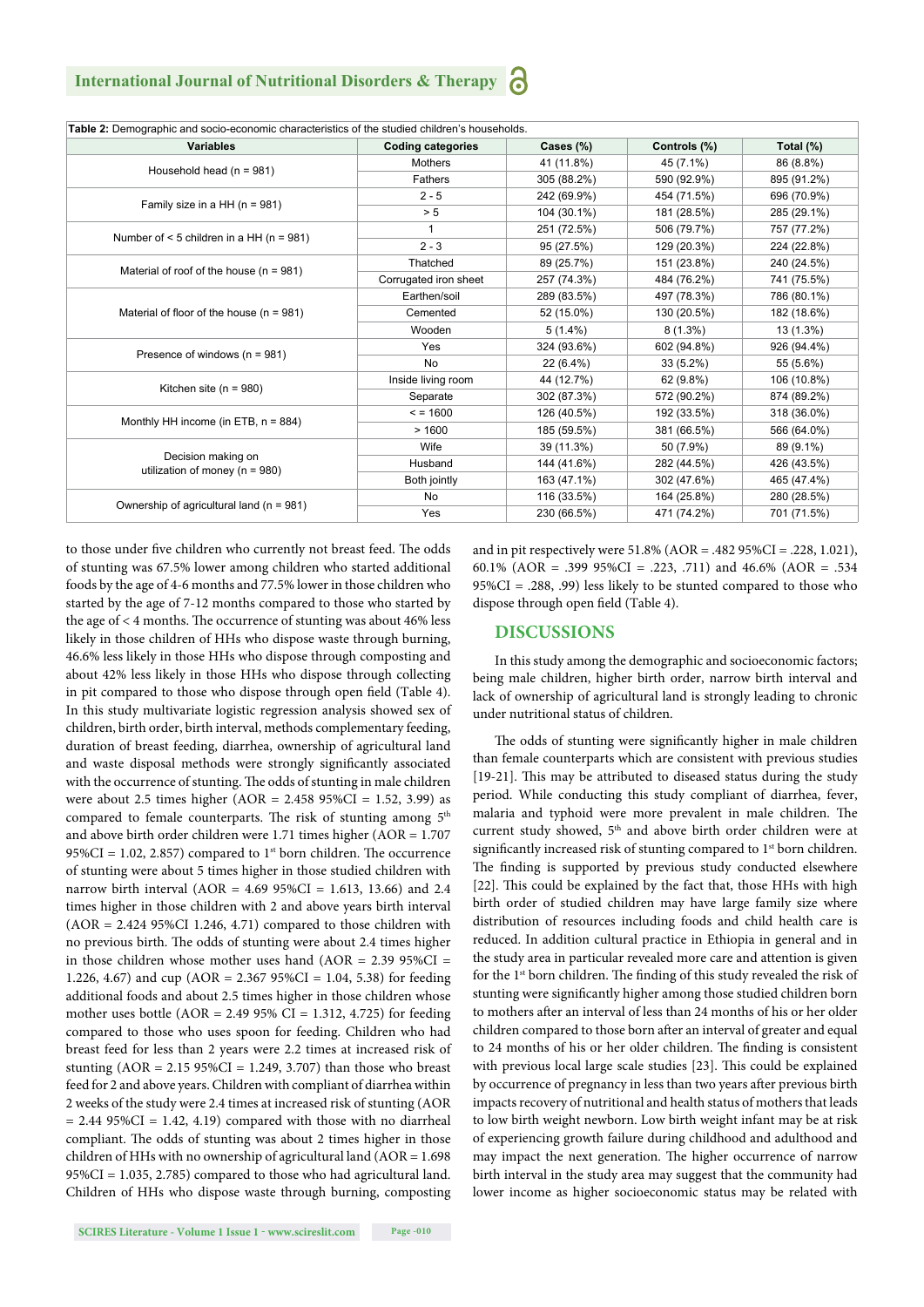| <b>Variables</b>                                         | <b>Coding categories</b> | Cases (%)   | Controls (%) | Total (%)   |
|----------------------------------------------------------|--------------------------|-------------|--------------|-------------|
| Household head $(n = 981)$                               | Mothers                  | 41 (11.8%)  | 45 (7.1%)    | 86 (8.8%)   |
|                                                          | Fathers                  | 305 (88.2%) | 590 (92.9%)  | 895 (91.2%) |
| Family size in a HH ( $n = 981$ )                        | $2 - 5$                  | 242 (69.9%) | 454 (71.5%)  | 696 (70.9%) |
|                                                          | > 5                      | 104 (30.1%) | 181 (28.5%)  | 285 (29.1%) |
| Number of $<$ 5 children in a HH (n = 981)               |                          | 251 (72.5%) | 506 (79.7%)  | 757 (77.2%) |
|                                                          | $2 - 3$                  | 95 (27.5%)  | 129 (20.3%)  | 224 (22.8%) |
| Material of roof of the house $(n = 981)$                | Thatched                 | 89 (25.7%)  | 151 (23.8%)  | 240 (24.5%) |
|                                                          | Corrugated iron sheet    | 257 (74.3%) | 484 (76.2%)  | 741 (75.5%) |
|                                                          | Earthen/soil             | 289 (83.5%) | 497 (78.3%)  | 786 (80.1%) |
| Material of floor of the house $(n = 981)$               | Cemented                 | 52 (15.0%)  | 130 (20.5%)  | 182 (18.6%) |
|                                                          | Wooden                   | $5(1.4\%)$  | $8(1.3\%)$   | 13 (1.3%)   |
|                                                          | Yes                      | 324 (93.6%) | 602 (94.8%)  | 926 (94.4%) |
| Presence of windows ( $n = 981$ )                        | No                       | 22 (6.4%)   | $33(5.2\%)$  | 55 (5.6%)   |
|                                                          | Inside living room       | 44 (12.7%)  | 62 (9.8%)    | 106 (10.8%) |
| Kitchen site ( $n = 980$ )                               | Separate                 | 302 (87.3%) | 572 (90.2%)  | 874 (89.2%) |
| Monthly HH income (in ETB, $n = 884$ )                   | $= 1600$                 | 126 (40.5%) | 192 (33.5%)  | 318 (36.0%) |
|                                                          | >1600                    | 185 (59.5%) | 381 (66.5%)  | 566 (64.0%) |
| Decision making on<br>utilization of money ( $n = 980$ ) | Wife                     | 39 (11.3%)  | 50 (7.9%)    | 89 (9.1%)   |
|                                                          | Husband                  | 144 (41.6%) | 282 (44.5%)  | 426 (43.5%) |
|                                                          | Both jointly             | 163 (47.1%) | 302 (47.6%)  | 465 (47.4%) |
|                                                          | No                       | 116 (33.5%) | 164 (25.8%)  | 280 (28.5%) |
| Ownership of agricultural land (n = 981)                 | Yes                      | 230 (66.5%) | 471 (74.2%)  | 701 (71.5%) |

to those under five children who currently not breast feed. The odds of stunting was 67.5% lower among children who started additional foods by the age of 4-6 months and 77.5% lower in those children who started by the age of 7-12 months compared to those who started by the age of  $<$  4 months. The occurrence of stunting was about 46% less likely in those children of HHs who dispose waste through burning, 46.6% less likely in those HHs who dispose through composting and about 42% less likely in those HHs who dispose through collecting in pit compared to those who dispose through open field (Table 4). In this study multivariate logistic regression analysis showed sex of children, birth order, birth interval, methods complementary feeding, duration of breast feeding, diarrhea, ownership of agricultural land and waste disposal methods were strongly significantly associated with the occurrence of stunting. The odds of stunting in male children were about 2.5 times higher (AOR =  $2.45895\%$ CI = 1.52, 3.99) as compared to female counterparts. The risk of stunting among  $5<sup>th</sup>$ and above birth order children were 1.71 times higher (AOR = 1.707 95%CI = 1.02, 2.857) compared to 1<sup>st</sup> born children. The occurrence of stunting were about 5 times higher in those studied children with narrow birth interval (AOR = 4.69 95%CI = 1.613, 13.66) and 2.4 times higher in those children with 2 and above years birth interval (AOR = 2.424 95%CI 1.246, 4.71) compared to those children with no previous birth. The odds of stunting were about 2.4 times higher in those children whose mother uses hand (AOR =  $2.39\,95\%$ CI = 1.226, 4.67) and cup (AOR = 2.367 95%CI = 1.04, 5.38) for feeding additional foods and about 2.5 times higher in those children whose mother uses bottle ( $AOR = 2.49$  95%  $CI = 1.312, 4.725$ ) for feeding compared to those who uses spoon for feeding. Children who had breast feed for less than 2 years were 2.2 times at increased risk of stunting  $(AOR = 2.15 95\%CI = 1.249, 3.707)$  than those who breast feed for 2 and above years. Children with compliant of diarrhea within 2 weeks of the study were 2.4 times at increased risk of stunting (AOR  $= 2.44 95\% CI = 1.42, 4.19$  compared with those with no diarrheal compliant. The odds of stunting was about 2 times higher in those children of HHs with no ownership of agricultural land (AOR = 1.698 95%CI = 1.035, 2.785) compared to those who had agricultural land. Children of HHs who dispose waste through burning, composting and in pit respectively were 51.8% (AOR = .482 95%CI = .228, 1.021), 60.1% (AOR = .399 95%CI = .223, .711) and 46.6% (AOR = .534 95%CI = .288, .99) less likely to be stunted compared to those who dispose through open field (Table 4).

## **DISCUSSIONS**

In this study among the demographic and socioeconomic factors; being male children, higher birth order, narrow birth interval and lack of ownership of agricultural land is strongly leading to chronic under nutritional status of children.

The odds of stunting were significantly higher in male children than female counterparts which are consistent with previous studies [19-21]. This may be attributed to diseased status during the study period. While conducting this study compliant of diarrhea, fever, malaria and typhoid were more prevalent in male children. The current study showed, 5<sup>th</sup> and above birth order children were at significantly increased risk of stunting compared to 1<sup>st</sup> born children. The finding is supported by previous study conducted elsewhere [22]. This could be explained by the fact that, those HHs with high birth order of studied children may have large family size where distribution of resources including foods and child health care is reduced. In addition cultural practice in Ethiopia in general and in the study area in particular revealed more care and attention is given for the 1<sup>st</sup> born children. The finding of this study revealed the risk of stunting were significantly higher among those studied children born to mothers after an interval of less than 24 months of his or her older children compared to those born after an interval of greater and equal to 24 months of his or her older children. The finding is consistent with previous local large scale studies [23]. This could be explained by occurrence of pregnancy in less than two years after previous birth impacts recovery of nutritional and health status of mothers that leads to low birth weight newborn. Low birth weight infant may be at risk of experiencing growth failure during childhood and adulthood and may impact the next generation. The higher occurrence of narrow birth interval in the study area may suggest that the community had lower income as higher socioeconomic status may be related with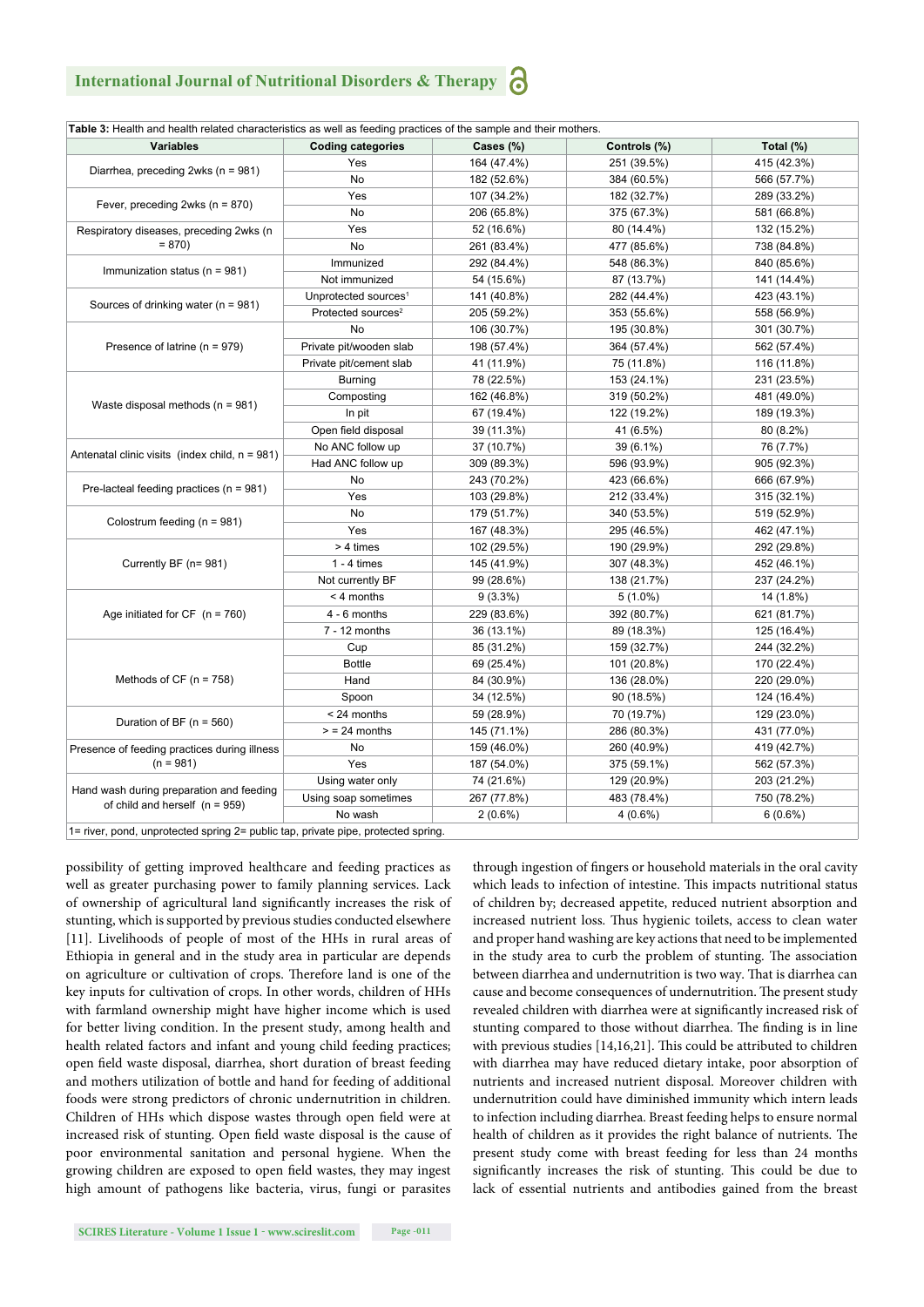# **International Journal of Nutritional Disorders & Therapy**

| <b>Variables</b>                                   | <b>Coding categories</b>         | Cases (%)   | Controls (%) | Total (%)   |
|----------------------------------------------------|----------------------------------|-------------|--------------|-------------|
| Diarrhea, preceding 2wks (n = 981)                 | Yes                              | 164 (47.4%) | 251 (39.5%)  | 415 (42.3%) |
|                                                    | No                               | 182 (52.6%) | 384 (60.5%)  | 566 (57.7%) |
| Fever, preceding 2wks (n = 870)                    | Yes                              | 107 (34.2%) | 182 (32.7%)  | 289 (33.2%) |
|                                                    | No                               | 206 (65.8%) | 375 (67.3%)  | 581 (66.8%) |
| Respiratory diseases, preceding 2wks (n<br>$= 870$ | Yes                              | 52 (16.6%)  | 80 (14.4%)   | 132 (15.2%) |
|                                                    | <b>No</b>                        | 261 (83.4%) | 477 (85.6%)  | 738 (84.8%) |
| Immunization status ( $n = 981$ )                  | Immunized                        | 292 (84.4%) | 548 (86.3%)  | 840 (85.6%) |
|                                                    | Not immunized                    | 54 (15.6%)  | 87 (13.7%)   | 141 (14.4%) |
| Sources of drinking water ( $n = 981$ )            | Unprotected sources <sup>1</sup> | 141 (40.8%) | 282 (44.4%)  | 423 (43.1%) |
|                                                    | Protected sources <sup>2</sup>   | 205 (59.2%) | 353 (55.6%)  | 558 (56.9%) |
| Presence of latrine ( $n = 979$ )                  | <b>No</b>                        | 106 (30.7%) | 195 (30.8%)  | 301 (30.7%) |
|                                                    | Private pit/wooden slab          | 198 (57.4%) | 364 (57.4%)  | 562 (57.4%) |
|                                                    | Private pit/cement slab          | 41 (11.9%)  | 75 (11.8%)   | 116 (11.8%) |
|                                                    | <b>Burning</b>                   | 78 (22.5%)  | 153 (24.1%)  | 231 (23.5%) |
| Waste disposal methods ( $n = 981$ )               | Composting                       | 162 (46.8%) | 319 (50.2%)  | 481 (49.0%) |
|                                                    | In pit                           | 67 (19.4%)  | 122 (19.2%)  | 189 (19.3%) |
|                                                    | Open field disposal              | 39 (11.3%)  | 41 (6.5%)    | 80 (8.2%)   |
|                                                    | No ANC follow up                 | 37 (10.7%)  | 39 (6.1%)    | 76 (7.7%)   |
| Antenatal clinic visits (index child, $n = 981$ )  | Had ANC follow up                | 309 (89.3%) | 596 (93.9%)  | 905 (92.3%) |
| Pre-lacteal feeding practices ( $n = 981$ )        | No                               | 243 (70.2%) | 423 (66.6%)  | 666 (67.9%) |
|                                                    | Yes                              | 103 (29.8%) | 212 (33.4%)  | 315 (32.1%) |
| Colostrum feeding ( $n = 981$ )                    | No                               | 179 (51.7%) | 340 (53.5%)  | 519 (52.9%) |
|                                                    | Yes                              | 167 (48.3%) | 295 (46.5%)  | 462 (47.1%) |
| Currently BF (n= 981)                              | > 4 times                        | 102 (29.5%) | 190 (29.9%)  | 292 (29.8%) |
|                                                    | $1 - 4$ times                    | 145 (41.9%) | 307 (48.3%)  | 452 (46.1%) |
|                                                    | Not currently BF                 | 99 (28.6%)  | 138 (21.7%)  | 237 (24.2%) |
|                                                    | $< 4$ months                     | 9(3.3%)     | $5(1.0\%)$   | 14 (1.8%)   |
| Age initiated for $CF$ (n = 760)                   | $4 - 6$ months                   | 229 (83.6%) | 392 (80.7%)  | 621 (81.7%) |
|                                                    | $7 - 12$ months                  | 36 (13.1%)  | 89 (18.3%)   | 125 (16.4%) |
|                                                    | Cup                              | 85 (31.2%)  | 159 (32.7%)  | 244 (32.2%) |
| Methods of $CF (n = 758)$                          | <b>Bottle</b>                    | 69 (25.4%)  | 101 (20.8%)  | 170 (22.4%) |
|                                                    | Hand                             | 84 (30.9%)  | 136 (28.0%)  | 220 (29.0%) |
|                                                    | Spoon                            | 34 (12.5%)  | 90 (18.5%)   | 124 (16.4%) |
| Duration of BF ( $n = 560$ )                       | < 24 months                      | 59 (28.9%)  | 70 (19.7%)   |             |
|                                                    |                                  |             |              | 129 (23.0%) |
| Presence of feeding practices during illness       | $>$ = 24 months                  | 145 (71.1%) | 286 (80.3%)  | 431 (77.0%) |
|                                                    | No                               | 159 (46.0%) | 260 (40.9%)  | 419 (42.7%) |
| $(n = 981)$                                        | Yes                              | 187 (54.0%) | 375 (59.1%)  | 562 (57.3%) |
| Hand wash during preparation and feeding           | Using water only                 | 74 (21.6%)  | 129 (20.9%)  | 203 (21.2%) |
| of child and herself $(n = 959)$                   | Using soap sometimes             | 267 (77.8%) | 483 (78.4%)  | 750 (78.2%) |
|                                                    | No wash                          | $2(0.6\%)$  | $4(0.6\%)$   | $6(0.6\%)$  |

possibility of getting improved healthcare and feeding practices as well as greater purchasing power to family planning services. Lack of ownership of agricultural land significantly increases the risk of stunting, which is supported by previous studies conducted elsewhere [11]. Livelihoods of people of most of the HHs in rural areas of Ethiopia in general and in the study area in particular are depends on agriculture or cultivation of crops. Therefore land is one of the key inputs for cultivation of crops. In other words, children of HHs with farmland ownership might have higher income which is used for better living condition. In the present study, among health and health related factors and infant and young child feeding practices; open field waste disposal, diarrhea, short duration of breast feeding and mothers utilization of bottle and hand for feeding of additional foods were strong predictors of chronic undernutrition in children. Children of HHs which dispose wastes through open field were at increased risk of stunting. Open field waste disposal is the cause of poor environmental sanitation and personal hygiene. When the growing children are exposed to open field wastes, they may ingest high amount of pathogens like bacteria, virus, fungi or parasites

through ingestion of fingers or household materials in the oral cavity which leads to infection of intestine. This impacts nutritional status of children by; decreased appetite, reduced nutrient absorption and increased nutrient loss. Thus hygienic toilets, access to clean water and proper hand washing are key actions that need to be implemented in the study area to curb the problem of stunting. The association between diarrhea and undernutrition is two way. That is diarrhea can cause and become consequences of undernutrition. The present study revealed children with diarrhea were at significantly increased risk of stunting compared to those without diarrhea. The finding is in line with previous studies  $[14,16,21]$ . This could be attributed to children with diarrhea may have reduced dietary intake, poor absorption of nutrients and increased nutrient disposal. Moreover children with undernutrition could have diminished immunity which intern leads to infection including diarrhea. Breast feeding helps to ensure normal health of children as it provides the right balance of nutrients. The present study come with breast feeding for less than 24 months significantly increases the risk of stunting. This could be due to lack of essential nutrients and antibodies gained from the breast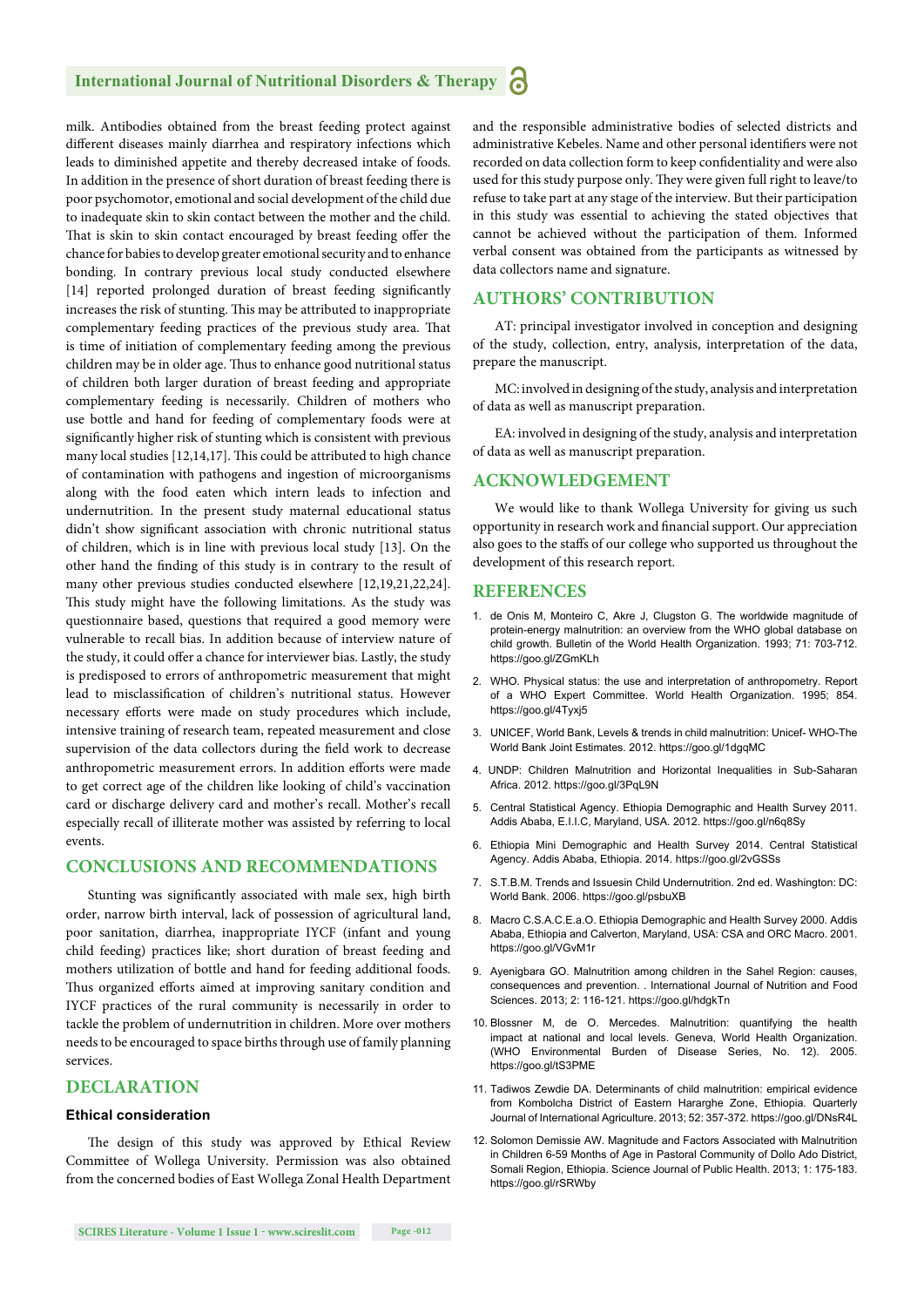# **International Journal of Nutritional Disorders & Therapy**

milk. Antibodies obtained from the breast feeding protect against different diseases mainly diarrhea and respiratory infections which leads to diminished appetite and thereby decreased intake of foods. In addition in the presence of short duration of breast feeding there is poor psychomotor, emotional and social development of the child due to inadequate skin to skin contact between the mother and the child. That is skin to skin contact encouraged by breast feeding offer the chance for babies to develop greater emotional security and to enhance bonding. In contrary previous local study conducted elsewhere [14] reported prolonged duration of breast feeding significantly increases the risk of stunting. This may be attributed to inappropriate complementary feeding practices of the previous study area. That is time of initiation of complementary feeding among the previous children may be in older age. Thus to enhance good nutritional status of children both larger duration of breast feeding and appropriate complementary feeding is necessarily. Children of mothers who use bottle and hand for feeding of complementary foods were at significantly higher risk of stunting which is consistent with previous many local studies  $[12,14,17]$ . This could be attributed to high chance of contamination with pathogens and ingestion of microorganisms along with the food eaten which intern leads to infection and undernutrition. In the present study maternal educational status didn't show significant association with chronic nutritional status of children, which is in line with previous local study [13]. On the other hand the finding of this study is in contrary to the result of many other previous studies conducted elsewhere [12,19,21,22,24]. This study might have the following limitations. As the study was questionnaire based, questions that required a good memory were vulnerable to recall bias. In addition because of interview nature of the study, it could offer a chance for interviewer bias. Lastly, the study is predisposed to errors of anthropometric measurement that might lead to misclassification of children's nutritional status. However necessary efforts were made on study procedures which include, intensive training of research team, repeated measurement and close supervision of the data collectors during the field work to decrease anthropometric measurement errors. In addition efforts were made to get correct age of the children like looking of child's vaccination card or discharge delivery card and mother's recall. Mother's recall especially recall of illiterate mother was assisted by referring to local events.

## **CONCLUSIONS AND RECOMMENDATIONS**

Stunting was significantly associated with male sex, high birth order, narrow birth interval, lack of possession of agricultural land, poor sanitation, diarrhea, inappropriate IYCF (infant and young child feeding) practices like; short duration of breast feeding and mothers utilization of bottle and hand for feeding additional foods. Thus organized efforts aimed at improving sanitary condition and IYCF practices of the rural community is necessarily in order to tackle the problem of undernutrition in children. More over mothers needs to be encouraged to space births through use of family planning services.

## **DECLARATION**

#### **Ethical consideration**

The design of this study was approved by Ethical Review Committee of Wollega University. Permission was also obtained from the concerned bodies of East Wollega Zonal Health Department and the responsible administrative bodies of selected districts and administrative Kebeles. Name and other personal identifiers were not recorded on data collection form to keep confidentiality and were also used for this study purpose only. They were given full right to leave/to refuse to take part at any stage of the interview. But their participation in this study was essential to achieving the stated objectives that cannot be achieved without the participation of them. Informed verbal consent was obtained from the participants as witnessed by data collectors name and signature.

# **AUTHORS' CONTRIBUTION**

AT: principal investigator involved in conception and designing of the study, collection, entry, analysis, interpretation of the data, prepare the manuscript.

MC: involved in designing of the study, analysis and interpretation of data as well as manuscript preparation.

EA: involved in designing of the study, analysis and interpretation of data as well as manuscript preparation.

#### **ACKNOWLEDGEMENT**

We would like to thank Wollega University for giving us such opportunity in research work and financial support. Our appreciation also goes to the staffs of our college who supported us throughout the development of this research report.

#### **REFERENCES**

- 1. de Onis M, Monteiro C, Akre J, Clugston G. The worldwide magnitude of protein-energy malnutrition: an overview from the WHO global database on child growth. Bulletin of the World Health Organization. 1993; 71: 703-712. https://goo.gl/ZGmKLh
- 2. WHO. Physical status: the use and interpretation of anthropometry. Report of a WHO Expert Committee. World Health Organization. 1995; 854. https://goo.gl/4Tyxj5
- 3. UNICEF, World Bank, Levels & trends in child malnutrition: Unicef- WHO-The World Bank Joint Estimates. 2012. https://goo.gl/1dgqMC
- 4. UNDP: Children Malnutrition and Horizontal Inequalities in Sub-Saharan Africa. 2012. https://goo.gl/3PqL9N
- 5. Central Statistical Agency. Ethiopia Demographic and Health Survey 2011. Addis Ababa, E.I.I.C, Maryland, USA. 2012. https://goo.gl/n6q8Sy
- 6. Ethiopia Mini Demographic and Health Survey 2014. Central Statistical Agency. Addis Ababa, Ethiopia. 2014. https://goo.gl/2vGSSs
- 7. S.T.B.M. Trends and Issuesin Child Undernutrition. 2nd ed. Washington: DC: World Bank. 2006. https://goo.gl/psbuXB
- 8. Macro C.S.A.C.E.a.O. Ethiopia Demographic and Health Survey 2000. Addis Ababa, Ethiopia and Calverton, Maryland, USA: CSA and ORC Macro. 2001. https://goo.gl/VGvM1r
- 9. Ayenigbara GO. Malnutrition among children in the Sahel Region: causes, consequences and prevention. . International Journal of Nutrition and Food Sciences. 2013; 2: 116-121. https://goo.gl/hdgkTn
- 10. Blossner M, de O. Mercedes. Malnutrition: quantifying the health impact at national and local levels. Geneva, World Health Organization. (WHO Environmental Burden of Disease Series, No. 12). 2005. https://goo.gl/tS3PME
- 11. Tadiwos Zewdie DA. Determinants of child malnutrition: empirical evidence from Kombolcha District of Eastern Hararghe Zone, Ethiopia. Quarterly Journal of International Agriculture. 2013; 52: 357-372. https://goo.gl/DNsR4L
- 12. Solomon Demissie AW. Magnitude and Factors Associated with Malnutrition in Children 6-59 Months of Age in Pastoral Community of Dollo Ado District, Somali Region, Ethiopia. Science Journal of Public Health. 2013; 1: 175-183. https://goo.gl/rSRWby